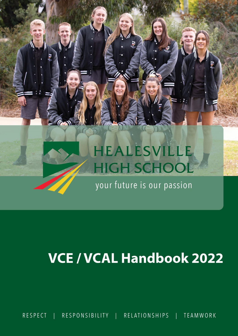# HEALESVILLE HIGH SCHOOL

your future is our passion

# **VCE / VCAL Handbook 2022**

**RESPECT** RESPONSIBILITY RELATIONSHIPS **TEAMWORK**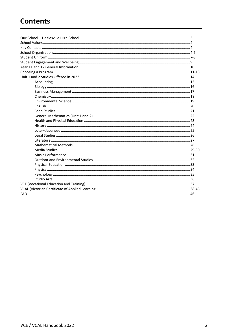# **Contents**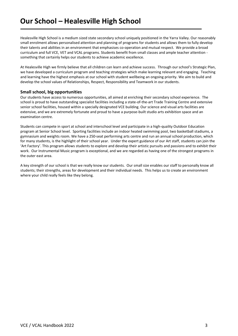Healesville High School is a medium sized state secondary school uniquely positioned in the Yarra Valley. Our reasonably small enrolment allows personalised attention and planning of programs for students and allows them to fully develop their talents and abilities in an environment that emphasises co-operation and mutual respect. We provide a broad curriculum and full VCE, VET and VCAL programs. Students benefit from small classes and ample teacher attention something that certainly helps our students to achieve academic excellence.

At Healesville High we firmly believe that all children can learn and achieve success. Through our school's Strategic Plan, we have developed a curriculum program and teaching strategies which make learning relevant and engaging. Teaching and learning have the highest emphasis at our school with student wellbeing an ongoing priority. We aim to build and develop the school values of Relationships, Respect, Responsibility and Teamwork in our students.

# **Small school, big opportunities**

Our students have access to numerous opportunities, all aimed at enriching their secondary school experience. The school is proud to have outstanding specialist facilities including a state-of-the-art Trade Training Centre and extensive senior school facilities, housed within a specially designated VCE building. Our science and visual arts facilities are extensive, and we are extremely fortunate and proud to have a purpose-built studio arts exhibition space and an examination centre.

Students can compete in sport at school and interschool level and participate in a high-quality Outdoor Education program at Senior School level. Sporting facilities include an indoor heated swimming pool, two basketball stadiums, a gymnasium and weights room. We have a 250-seat performing arts centre and run an annual school production, which for many students, is the highlight of their school year. Under the expert guidance of our Art staff, students can join the 'Art Factory'. This program allows students to explore and develop their artistic pursuits and passions and to exhibit their work. Our Instrumental Music program is exceptional, and we are regarded as having one of the strongest programs in the outer east area.

A key strength of our school is that we really know our students. Our small size enables our staff to personally know all students; their strengths, areas for development and their individual needs. This helps us to create an environment where your child really feels like they belong.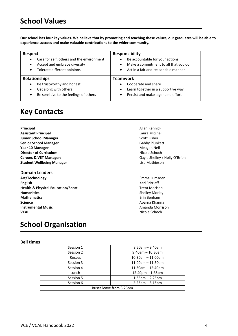# **School Values**

**Our school has four key values. We believe that by promoting and teaching these values, our graduates will be able to experience success and make valuable contributions to the wider community.**

| Respect                                   | <b>Responsibility</b>                |
|-------------------------------------------|--------------------------------------|
| Care for self, others and the environment | Be accountable for your actions      |
| $\bullet$                                 | $\bullet$                            |
| Accept and embrace diversity              | Make a commitment to all that you do |
| ٠                                         | $\bullet$                            |
| Tolerate different opinions               | Act in a fair and reasonable manner  |
| $\bullet$                                 | $\bullet$                            |
| <b>Relationships</b>                      | <b>Teamwork</b>                      |
| Be trustworthy and honest                 | Cooperate and share                  |
| $\bullet$                                 | $\bullet$                            |
| Get along with others                     | Learn together in a supportive way   |
| ٠                                         | $\bullet$                            |
| Be sensitive to the feelings of others    | Persist and make a genuine effort    |
| $\bullet$                                 | ٠                                    |

# **Key Contacts**

- **Principal Allan Rennick Assistant Principal** Laura Mitchell **Junior School Manager** Scott Fisher **Senior School Manager** Gabby Plunkett **Year 10 Manager** Meagan Neil **Meagan Neil Albert Weagan Neil Albert Weagan Neil Albert Weagan Neil Albert Weagan Neil Albert Weagan Neil Albert Weagan Neil Albert Weagan Neil Albert Weagan Neil Albert Weagan Neil Albert W Director of Curriculum** Nicole Schoch **Careers & VET Managers Gayle Shelley / Holly O'Brien Student Wellbeing Manager Lisa Mathieson**
- **Domain Leaders Art/Technology** Emma Lumsden **English** Karl Fritzlaff **Health & Physical Education/Sport** Trent Morison **Humanities** Shelley Morley Morley Morley Morley Morley Morley Morley Morley Morley Morley Morley Morley Morley Morley Morley Morley Morley Morley Morley Morley Morley Morley Morley Morley Morley Morley Morley Morley Morle **Mathematics Example 2018 Mathematics Example 2018 Example 2019 Example 2019 Example 2019 Example 2019 Science** Aparna Khanna Khanna Khanna Khanna Khanna Khanna Khanna Khanna Khanna Khanna Khanna Khanna Khanna Khanna Khanna Khanna Khanna Khanna Khanna Khanna Khanna Khanna Khanna Khanna Khanna Khanna Khanna Khanna Khanna Kh **Instrumental Music**<br> **Instrumental Music**<br> **INICOLE**<br> **INICOLE**<br> **INICOLE**<br> **INICOLE**<br> **INICOLE**

# **School Organisation**

# **Bell times**

| Session 1               | $8:50$ am – 9:40am     |  |  |  |
|-------------------------|------------------------|--|--|--|
| Session 2               | $9:40$ am - 10:30am    |  |  |  |
| Recess                  | $10:30$ am - 11:00am   |  |  |  |
| Session 3               | $11:00$ am - 11:50am   |  |  |  |
| Session 4               | $11:50$ am $-12:40$ pm |  |  |  |
| Lunch                   | $12:40$ pm $-1:35$ pm  |  |  |  |
| Session 5               | $1:35$ pm $- 2:25$ pm  |  |  |  |
| Session 6               | $2:25$ pm $-3:15$ pm   |  |  |  |
| Buses leave from 3:25pm |                        |  |  |  |

**Nicole Schoch**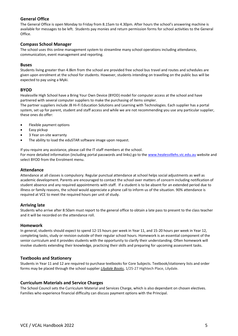# **General Office**

The General Office is open Monday to Friday from 8.15am to 4.30pm. After hours the school's answering machine is available for messages to be left. Students pay monies and return permission forms for school activities to the General Office.

# **Compass School Manager**

The school uses this online management system to streamline many school operations including attendance, communication, event management and reporting.

# **Buses**

Students living greater than 4.8km from the school are provided free school bus travel and routes and schedules are given upon enrolment at the school for students. However, students intending on travelling on the public bus will be expected to pay using a Myki.

# **BYOD**

Healesville High School have a Bring Your Own Device (BYOD) model for computer access at the school and have partnered with several computer suppliers to make the purchasing of items simpler.

The partner suppliers include JB Hi-Fi Education Solutions and Learning with Technologies. Each supplier has a portal system, set up for parent, student and staff access and while we are not recommending you use any particular supplier, these ones do offer:

- Flexible payment options
- Easy pickup
- 3 Year on-site warranty
- The ability to load the eduSTAR software image upon request.

If you require any assistance, please call the IT staff members at the school. For more detailed information (including portal passwords and links) go to the [www.healesvillehs.vic.edu.au](http://www.healesvillehs.vic.edu.au/) website and select BYOD from the Enrolment menu.

# **Attendance**

Attendance at all classes is compulsory. Regular punctual attendance at school helps social adjustments as well as academic development. Parents are encouraged to contact the school over matters of concern including notification of student absence and any required appointments with staff. If a student is to be absent for an extended period due to illness or family reasons, the school would appreciate a phone call to inform us of the situation. 90% attendance is required at VCE to meet the required hours per unit of study.

# **Arriving late**

Students who arrive after 8:50am must report to the general office to obtain a late pass to present to the class teacher and it will be recorded on the attendance roll.

# **Homework**

In general, students should expect to spend 12-15 hours per week in Year 11, and 15-20 hours per week in Year 12, completing tasks, study or revision outside of their regular school hours. Homework is an essential component of the senior curriculum and it provides students with the opportunity to clarify their understanding. Often homework will involve students extending their knowledge, practicing their skills and preparing for upcoming assessment tasks.

# **Textbooks and Stationery**

Students in Year 11 and 12 are required to purchase textbooks for Core Subjects. Textbook/stationery lists and order forms may be placed through the school supplier *Lilydale Books*, 1/25-27 Hightech Place, Lilydale.

# **Curriculum Materials and Service Charges**

The School Council sets the Curriculum Material and Services Charge, which is also dependant on chosen electives. Families who experience financial difficulty can discuss payment options with the Principal.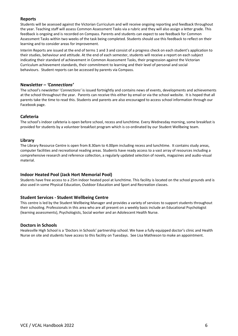# **Reports**

Students will be assessed against the Victorian Curriculum and will receive ongoing reporting and feedback throughout the year. Teaching staff will assess Common Assessment Tasks via a rubric and they will also assign a letter grade. This feedback is ongoing and is recorded on Compass. Parents and students can expect to see feedback for Common Assessment Tasks within two weeks of the task being completed. Students should use this feedback to reflect on their learning and to consider areas for improvement.

Interim Reports are issued at the end of terms 1 and 3 and consist of a progress check on each student's application to their studies, behaviour and attitude. At the end of each semester, students will receive a report on each subject indicating their standard of achievement in Common Assessment Tasks, their progression against the Victorian Curriculum achievement standards, their commitment to learning and their level of personal and social behaviours. Student reports can be accessed by parents via Compass.

# **Newsletter –** *'Connections'*

The school's newsletter '*Connections'* is issued fortnightly and contains news of events, developments and achievements at the school throughout the year. Parents can receive this either by email or via the school website. It is hoped that all parents take the time to read this. Students and parents are also encouraged to access school information through our Facebook page.

# **Cafeteria**

The school's indoor cafeteria is open before school, recess and lunchtime. Every Wednesday morning, some breakfast is provided for students by a volunteer breakfast program which is co-ordinated by our Student Wellbeing team.

# **Library**

The Library Resource Centre is open from 8.30am to 4.00pm including recess and lunchtime. It contains study areas, computer facilities and recreational reading areas. Students have ready access to a vast array of resources including a comprehensive research and reference collection, a regularly updated selection of novels, magazines and audio-visual material.

# **Indoor Heated Pool (Jack Hort Memorial Pool)**

Students have free access to a 25m indoor heated pool at lunchtime. This facility is located on the school grounds and is also used in some Physical Education, Outdoor Education and Sport and Recreation classes.

# **Student Services - Student Wellbeing Centre**

This centre is led by the Student Wellbeing Manager and provides a variety of services to support students throughout their schooling. Professionals in this area who are all present on a weekly basis include an Educational Psychologist (learning assessments), Psychologists, Social worker and an Adolescent Health Nurse.

# **Doctors in Schools**

Healesville High School is a 'Doctors in Schools' partnership school. We have a fully equipped doctor's clinic and Health Nurse on site and students have access to this facility on Tuesdays. See Lisa Mathieson to make an appointment.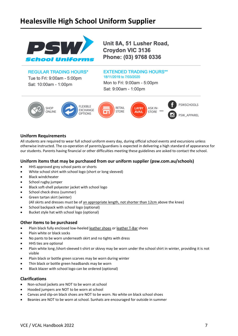# **Healesville High School Uniform Supplier**



Unit 8A, 51 Lusher Road, **Croydon VIC 3136** Phone: (03) 9768 0336

**REGULAR TRADING HOURS\*** Tue to Fri: 9:00am - 5:00pm Sat: 10:00am - 1:00pm

# **EXTENDED TRADING HOURS\*\*** 18/11/2019 to 7/03/2020 Mon to Fri: 9:00am - 5:00pm

Sat: 9:00am - 1:00pm



# **Uniform Requirements**

All students are required to wear full school uniform every day, during official school events and excursions unless otherwise instructed. The co-operation of parents/guardians is expected in delivering a high standard of appearance for our students. Parents having financial or other difficulties meeting these guidelines are asked to contact the school.

# **Uniform items that may be purchased from our uniform supplier (psw.com.au/schools)**

- HHS approved grey school pants or shorts
- White school shirt with school logo (short or long sleeved)
- Black windcheater
- School rugby jumper
- Black soft-shell polyester jacket with school logo
- School check dress (summer)
- Green tartan skirt (winter)
- (All skirts and dresses must be of an appropriate length, not shorter than 12cm above the knee)
- School backpack with school logo (optional)
- Bucket style hat with school logo (optional)

# **Other items to be purchased**

- Plain black fully enclosed low-heeled leather shoes or leather T-Bar shoes
- Plain white or black socks
- No pants to be worn underneath skirt and no tights with dress
- HHS ties are optional
- Plain white long /short-sleeved t-shirt or skivvy may be worn under the school shirt in winter, providing it is not visible
- Plain black or bottle green scarves may be worn during winter
- Thin black or bottle green headbands may be worn
- Black blazer with school logo can be ordered (optional)

# **Clarifications**

- Non-school jackets are NOT to be worn at school
- Hooded jumpers are NOT to be worn at school
- Canvas and slip-on black shoes are NOT to be worn. No white on black school shoes
- Beanies are NOT to be worn at school. Sunhats are encouraged for outside in summer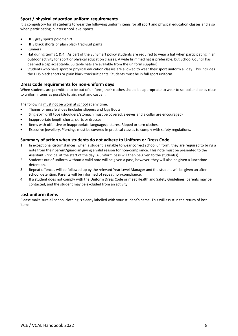# **Sport / physical education uniform requirements**

It is compulsory for all students to wear the following uniform items for all sport and physical education classes and also when participating in interschool level sports.

- HHS grey sports polo t-shirt
- HHS black shorts or plain black tracksuit pants
- **Runners**
- Hat during terms 1 & 4. (As part of the SunSmart policy students are required to wear a hat when participating in an outdoor activity for sport or physical education classes. A wide brimmed hat is preferable, but School Council has deemed a cap acceptable. Suitable hats are available from the uniform supplier)
- Students who have sport or physical education classes are allowed to wear their sport uniform all day. This includes the HHS black shorts or plain black tracksuit pants. Students must be in full sport uniform.

# **Dress Code requirements for non-uniform days**

When students are permitted to be out of uniform, their clothes should be appropriate to wear to school and be as close to uniform items as possible (plain, neat and casual).

The following must not be worn at school at any time:

- Thongs or unsafe shoes (includes slippers and Ugg Boots)
- Singlet/midriff tops (shoulders/stomach must be covered; sleeves and a collar are encouraged)
- Inappropriate length shorts, skirts or dresses
- Items with offensive or inappropriate language/pictures. Ripped or torn clothes.
- Excessive jewellery. Piercings must be covered in practical classes to comply with safety regulations.

# **Summary of action when students do not adhere to Uniform or Dress Code**

- 1. In exceptional circumstances, when a student is unable to wear correct school uniform, they are required to bring a note from their parent/guardian giving a valid reason for non-compliance. This note must be presented to the Assistant Principal at the start of the day. A uniform pass will then be given to the student(s).
- 2. Students out of uniform without a valid note will be given a pass, however, they will also be given a lunchtime detention.
- 3. Repeat offences will be followed up by the relevant Year Level Manager and the student will be given an afterschool detention. Parents will be informed of repeat non-compliance.
- 4. If a student does not comply with the Uniform Dress Code or meet Health and Safety Guidelines, parents may be contacted, and the student may be excluded from an activity.

# **Lost uniform items**

Please make sure all school clothing is clearly labelled with your student's name. This will assist in the return of lost items.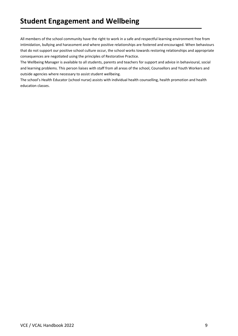All members of the school community have the right to work in a safe and respectful learning environment free from intimidation, bullying and harassment and where positive relationships are fostered and encouraged. When behaviours that do not support our positive school culture occur, the school works towards restoring relationships and appropriate consequences are negotiated using the principles of Restorative Practice.

The Wellbeing Manager is available to all students, parents and teachers for support and advice in behavioural, social and learning problems. This person liaises with staff from all areas of the school, Counsellors and Youth Workers and outside agencies where necessary to assist student wellbeing.

The school's Health Educator (school nurse) assists with individual health counselling, health promotion and health education classes.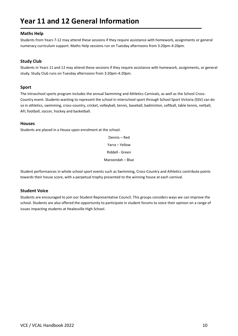# **Year 11 and 12 General Information**

# **Maths Help**

Students from Years 7-12 may attend these sessions if they require assistance with homework, assignments or general numeracy curriculum support. Maths Help sessions run on Tuesday afternoons from 3:20pm-4:20pm.

# **Study Club**

Students in Years 11 and 12 may attend these sessions if they require assistance with homework, assignments, or general study. Study Club runs on Tuesday afternoons from 3:20pm-4:20pm.

# **Sport**

The intraschool sports program includes the annual Swimming and Athletics Carnivals, as well as the School Cross-Country event. Students wanting to represent the school in interschool sport through School Sport Victoria (SSV) can do so in athletics, swimming, cross-country, cricket, volleyball, tennis, baseball, badminton, softball, table tennis, netball, AFL football, soccer, hockey and basketball.

# **Houses**

Students are placed in a House upon enrolment at the school.

Dennis – Red Yarra – Yellow Riddell - Green Maroondah – Blue

Student performances in whole school sport events such as Swimming, Cross-Country and Athletics contribute points towards their house score, with a perpetual trophy presented to the winning house at each carnival.

# **Student Voice**

Students are encouraged to join our Student Representative Council. This groups considers ways we can improve the school. Students are also offered the opportunity to participate in student forums to voice their opinion on a range of issues impacting students at Healesville High School.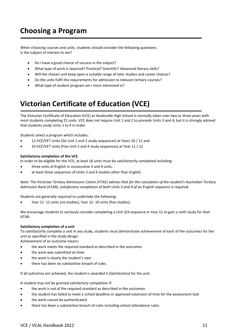# **Choosing a Program**

When choosing courses and units, students should consider the following questions: Is the subject of interest to me?

- Do I have a good chance of success in the subject?
- What type of work is required? Practical? Scientific? Advanced literacy skills?
- Will the chosen unit keep open a suitable range of later studies and career choices?
- Do the units fulfil the requirements for admission to relevant tertiary courses?
- What type of student program am I most interested in?

# **Victorian Certificate of Education (VCE)**

The Victorian Certificate of Education (VCE) at Healesville High School is normally taken over two or three years with most students completing 22 units. VCE does not require Unit 1 and 2 to precede Units 3 and 4, but it is strongly advised that students study Units 1 to 4 in order.

Students select a program which includes:

- 12 VCE/VET Units (Six Unit 1 and 2 study sequences) at Years 10 / 11 and
- 10 VCE/VET Units (Five Unit 3 and 4 study sequences) at Year 11 / 12

# **Satisfactory completion of the VCE**

In order to be eligible for the VCE, at least 16 units must be satisfactorily completed including:

- three units of English in consecutive 3 and 4 units.
- at least three sequences of Units 3 and 4 studies other than English.

*Note: The Victorian Tertiary Admissions Centre (VTAC) advises that for the calculation of the student's Australian Tertiary Admission Rank (ATAR), satisfactory completion of both Units 3 and 4 of an English sequence is required.*

Students are generally required to undertake the following:

• Year 11- 12 units (six studies), Year 12- 10 units (five studies).

We encourage students to seriously consider completing a Unit 3/4 sequence in Year 11 to gain a sixth study for their ATAR.

# **Satisfactory completion of a unit**

To satisfactorily complete a unit in any study, students must demonstrate achievement of each of the outcomes for the unit as specified in the study design.

Achievement of an outcome means:

- the work meets the required standard as described in the outcomes
- the work was submitted on time
- the work is clearly the student's own
- there has been no substantive breach of rules.

If all outcomes are achieved, the student is awarded S (Satisfactory) for the unit.

A student may not be granted satisfactory completion if:

- the work is not of the required standard as described in the outcomes
- the student has failed to meet a school deadline or approved extension of time for the assessment task
- the work cannot be authenticated
- there has been a substantive breach of rules including school attendance rules.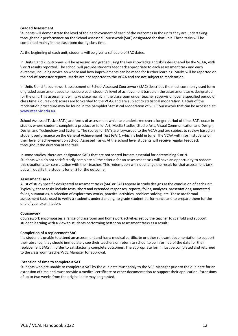# **Graded Assessment**

Students will demonstrate the level of their achievement of each of the outcomes in the units they are undertaking through their performance on the School Assessed Coursework (SAC) designated for that unit. These tasks will be completed mainly in the classroom during class time.

At the beginning of each unit, students will be given a schedule of SAC dates.

In Units 1 and 2, outcomes will be assessed and graded using the key knowledge and skills designated by the VCAA, with S or N results reported. The school will provide students feedback appropriate to each assessment task and each outcome, including advice on where and how improvements can be made for further learning. Marks will be reported on the end-of-semester reports. Marks are not reported to the VCAA and are not subject to moderation.

In Units 3 and 4, coursework assessment or School Assessed Coursework (SAC) describes the most commonly used form of graded assessment used to measure each student's level of achievement based on the assessment tasks designated for the unit. This assessment will take place mainly in the classroom under teacher supervision over a specified period of class time. Coursework scores are forwarded to the VCAA and are subject to statistical moderation. Details of the moderation procedure may be found in the pamphlet Statistical Moderation of VCE Coursework that can be accessed at: [www.vcaa.vic.edu.au.](http://www.vcaa.vic.edu.au/)

School Assessed Tasks (SATs) are forms of assessment which are undertaken over a longer period of time. SATs occur in studies where students complete a product or folio: Art, Media Studies, Studio Arts, Visual Communication and Design, Design and Technology and Systems. The scores for SATs are forwarded to the VCAA and are subject to review based on student performance on the General Achievement Test (GAT), which is held in June. The VCAA will inform students of their level of achievement on School Assessed Tasks. At the school level students will receive regular feedback throughout the duration of the task.

In some studies, there are designated SACs that are not scored but are essential for determining S or N. Students who do not satisfactorily complete all the criteria for an assessment task will have an opportunity to redeem this situation after consultation with their teacher. This redemption will not change the result for that assessment task but will qualify the student for an S for the outcome.

# **Assessment Tasks**

A list of study specific designated assessment tasks (SAC or SAT) appear in study designs at the conclusion of each unit. Typically, these tasks include tests, short and extended responses, reports, folios, analyses, presentations, annotated folios, summaries, a selection of exploratory works, practical activities, problem solving, etc. These are formal assessment tasks used to verify a student's understanding, to grade student performance and to prepare them for the end of year examination.

# **Coursework**

Coursework encompasses a range of classroom and homework activities set by the teacher to scaffold and support student learning with a view to students performing better on assessment tasks as a result.

# **Completion of a replacement SAC**

If a student is unable to attend an assessment and has a medical certificate or other relevant documentation to support their absence, they should immediately see their teachers on return to school to be informed of the date for their replacement SACs, in order to satisfactorily complete outcomes. The appropriate form must be completed and returned to the classroom teacher/VCE Manager for approval.

# **Extension of time to complete a SAT**

Students who are unable to complete a SAT by the due date must apply to the VCE Manager prior to the due date for an extension of time and must provide a medical certificate or other documentation to support their application. Extensions of up to two weeks from the original date may be granted.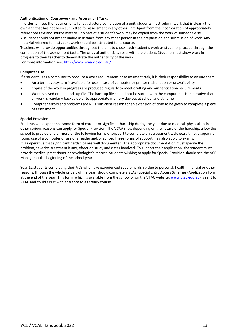# **Authentication of Coursework and Assessment Tasks**

In order to meet the requirements for satisfactory completion of a unit, students must submit work that is clearly their own and that has not been submitted for assessment in any other unit. Apart from the incorporation of appropriately referenced text and source material, no part of a student's work may be copied from the work of someone else. A student should not accept undue assistance from any other person in the preparation and submission of work. Any material referred to in student work should be attributed to its source.

Teachers will provide opportunities throughout the unit to check each student's work as students proceed through the completion of the assessment tasks. The onus of authenticity rests with the student. Students must show work in progress to their teacher to demonstrate the authenticity of the work.

For more information see:<http://www.vcaa.vic.edu.au/>

#### **Computer Use**

If a student uses a computer to produce a work requirement or assessment task, it is their responsibility to ensure that:

- An alternative system is available for use in case of computer or printer malfunction or unavailability
- Copies of the work in progress are produced regularly to meet drafting and authentication requirements
- Work is saved on to a back-up file. The back-up file should not be stored with the computer. It is imperative that all work is regularly backed up onto appropriate memory devices at school and at home
- Computer errors and problems are NOT sufficient reason for an extension of time to be given to complete a piece of assessment.

#### **Special Provision**

Students who experience some form of chronic or significant hardship during the year due to medical, physical and/or other serious reasons can apply for Special Provision. The VCAA may, depending on the nature of the hardship, allow the school to provide one or more of the following forms of support to complete an assessment task: extra time, a separate room, use of a computer or use of a reader and/or scribe. These forms of support may also apply to exams. It is imperative that significant hardships are well documented. The appropriate documentation must specify the problem, severity, treatment if any, effect on study and dates involved. To support their application, the student must provide medical practitioner or psychologist's reports. Students wishing to apply for Special Provision should see the VCE Manager at the beginning of the school year.

Year 12 students completing their VCE who have experienced severe hardship due to personal, health, financial or other reasons, through the whole or part of the year, should complete a SEAS (Special Entry Access Schemes) Application Form at the end of the year. This form (which is available from the school or on the VTAC website[: www.vtac.edu.au\)](http://www.vtac.edu.au/) is sent to VTAC and could assist with entrance to a tertiary course.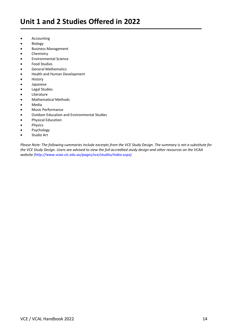- **Accounting**
- **Biology**
- Business Management
- **Chemistry**
- Environmental Science
- Food Studies
- General Mathematics
- Health and Human Development
- **History**
- Japanese
- Legal Studies
- Literature
- Mathematical Methods
- Media
- Music Performance
- Outdoor Education and Environmental Studies
- Physical Education
- **Physics**
- **Psychology**
- Studio Art

*Please Note: The following summaries include excerpts from the VCE Study Design. The summary is not a substitute for the VCE Study Design. Users are advised to view the full accredited study design and other resources on the VCAA website [\(http://www.vcaa.vic.edu.au/pages/vce/studies/index.aspx\).](http://www.vcaa.vic.edu.au/pages/vce/studies/index.aspx))*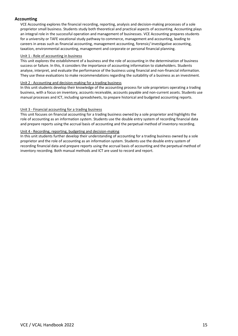# **Accounting**

VCE Accounting explores the financial recording, reporting, analysis and decision-making processes of a sole proprietor small business. Students study both theoretical and practical aspects of accounting. Accounting plays an integral role in the successful operation and management of businesses. VCE Accounting prepares students for a university or TAFE vocational study pathway to commerce, management and accounting, leading to careers in areas such as financial accounting, management accounting, forensic/ investigative accounting, taxation, environmental accounting, management and corporate or personal financial planning.

# Unit 1 - Role of accounting in business

This unit explores the establishment of a business and the role of accounting in the determination of business success or failure. In this, it considers the importance of accounting information to stakeholders. Students analyse, interpret, and evaluate the performance of the business using financial and non-financial information. They use these evaluations to make recommendations regarding the suitability of a business as an investment.

# Unit 2 - Accounting and decision-making for a trading business

In this unit students develop their knowledge of the accounting process for sole proprietors operating a trading business, with a focus on inventory, accounts receivable, accounts payable and non-current assets. Students use manual processes and ICT, including spreadsheets, to prepare historical and budgeted accounting reports.

# Unit 3 - Financial accounting for a trading business

This unit focuses on financial accounting for a trading business owned by a sole proprietor and highlights the role of accounting as an information system. Students use the double entry system of recording financial data and prepare reports using the accrual basis of accounting and the perpetual method of inventory recording.

# Unit 4 - Recording, reporting, budgeting and decision-making

In this unit students further develop their understanding of accounting for a trading business owned by a sole proprietor and the role of accounting as an information system. Students use the double entry system of recording financial data and prepare reports using the accrual basis of accounting and the perpetual method of inventory recording. Both manual methods and ICT are used to record and report.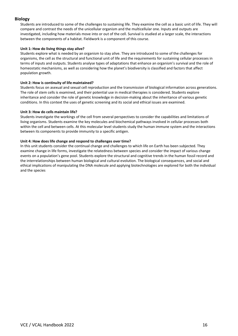# **Biology**

Students are introduced to some of the challenges to sustaining life. They examine the cell as a basic unit of life. They will compare and contrast the needs of the unicellular organism and the multicellular one. Inputs and outputs are investigated, including how materials move into or out of the cell. Survival is studied at a larger scale, the interactions between the components of a habitat. Fieldwork is a component of this course.

# **Unit 1: How do living things stay alive?**

Students explore what is needed by an organism to stay alive. They are introduced to some of the challenges for organisms, the cell as the structural and functional unit of life and the requirements for sustaining cellular processes in terms of inputs and outputs. Students analyse types of adaptations that enhance an organism's survival and the role of homeostatic mechanisms, as well as considering how the planet's biodiversity is classified and factors that affect population growth.

# **Unit 2: How is continuity of life maintained?**

Students focus on asexual and sexual cell reproduction and the transmission of biological information across generations. The role of stem cells is examined, and their potential use in medical therapies is considered. Students explore inheritance and consider the role of genetic knowledge in decision-making about the inheritance of various genetic conditions. In this context the uses of genetic screening and its social and ethical issues are examined.

# **Unit 3: How do cells maintain life?**

Students investigate the workings of the cell from several perspectives to consider the capabilities and limitations of living organisms. Students examine the key molecules and biochemical pathways involved in cellular processes both within the cell and between cells. At this molecular level students study the human immune system and the interactions between its components to provide immunity to a specific antigen.

# **Unit 4: How does life change and respond to challenges over time?**

In this unit students consider the continual change and challenges to which life on Earth has been subjected. They examine change in life forms, investigate the relatedness between species and consider the impact of various change events on a population's gene pool. Students explore the structural and cognitive trends in the human fossil record and the interrelationships between human biological and cultural evolution. The biological consequences, and social and ethical implications of manipulating the DNA molecule and applying biotechnologies are explored for both the individual and the species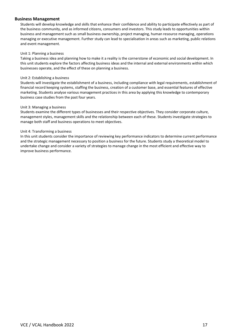# **Business Management**

Students will develop knowledge and skills that enhance their confidence and ability to participate effectively as part of the business community, and as informed citizens, consumers and investors. This study leads to opportunities within business and management such as small business ownership, project managing, human resource managing, operations managing or executive management. Further study can lead to specialisation in areas such as marketing, public relations and event management.

# Unit 1: Planning a business

Taking a business idea and planning how to make it a reality is the cornerstone of economic and social development. In this unit students explore the factors affecting business ideas and the internal and external environments within which businesses operate, and the effect of these on planning a business.

#### Unit 2: Establishing a business

Students will investigate the establishment of a business, including compliance with legal requirements, establishment of financial record keeping systems, staffing the business, creation of a customer base, and essential features of effective marketing. Students analyse various management practices in this area by applying this knowledge to contemporary business case studies from the past four years.

#### Unit 3: Managing a business

Students examine the different types of businesses and their respective objectives. They consider corporate culture, management styles, management skills and the relationship between each of these. Students investigate strategies to manage both staff and business operations to meet objectives.

#### Unit 4: Transforming a business

In this unit students consider the importance of reviewing key performance indicators to determine current performance and the strategic management necessary to position a business for the future. Students study a theoretical model to undertake change and consider a variety of strategies to manage change in the most efficient and effective way to improve business performance.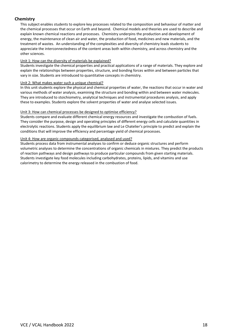# **Chemistry**

This subject enables students to explore key processes related to the composition and behaviour of matter and the chemical processes that occur on Earth and beyond. Chemical models and theories are used to describe and explain known chemical reactions and processes. Chemistry underpins the production and development of energy, the maintenance of clean air and water, the production of food, medicines and new materials, and the treatment of wastes. An understanding of the complexities and diversity of chemistry leads students to appreciate the interconnectedness of the content areas both within chemistry, and across chemistry and the other sciences.

# Unit 1: How can the diversity of materials be explained?

Students investigate the chemical properties and practical applications of a range of materials. They explore and explain the relationships between properties, structure, and bonding forces within and between particles that vary in size. Students are introduced to quantitative concepts in chemistry.

# Unit 2: What makes water such a unique chemical?

In this unit students explore the physical and chemical properties of water, the reactions that occur in water and various methods of water analysis, examining the structure and bonding within and between water molecules. They are introduced to stoichiometry, analytical techniques and instrumental procedures analysis, and apply these to examples. Students explore the solvent properties of water and analyse selected issues.

# Unit 3: How can chemical processes be designed to optimise efficiency?

Students compare and evaluate different chemical energy resources and investigate the combustion of fuels. They consider the purpose, design and operating principles of different energy cells and calculate quantities in electrolytic reactions. Students apply the equilibrium law and Le Chatelier's principle to predict and explain the conditions that will improve the efficiency and percentage yield of chemical processes.

# Unit 4: How are organic compounds categorised, analysed and used?

Students process data from instrumental analyses to confirm or deduce organic structures and perform volumetric analyses to determine the concentrations of organic chemicals in mixtures. They predict the products of reaction pathways and design pathways to produce particular compounds from given starting materials. Students investigate key food molecules including carbohydrates, proteins, lipids, and vitamins and use calorimetry to determine the energy released in the combustion of food.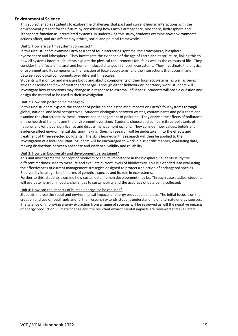# **Environmental Science**

This subject enables students to explore the challenges that past and current human interactions with the environment present for the future by considering how Earth's atmosphere, biosphere, hydrosphere and lithosphere function as interrelated systems. In undertaking this study, students examine how environmental actions affect, and are affected by ethical, social and political frameworks.

# Unit 1: How are Earth's systems connected?

In this unit, students examine Earth as a set of four interacting systems: the atmosphere, biosphere, hydrosphere and lithosphere. They investigate the evidence of the age of Earth and its structure, linking this to how all systems interact. Students explore the physical requirements for life as well as the outputs of life. They consider the effects of natural and human-induced changes in chosen ecosystems. They investigate the physical environment and its components, the function of local ecosystems, and the interactions that occur in and between ecological components over different timescales.

Students will monitor and measure biotic and abiotic components of their local ecosystems, as well as being able to describe the flow of matter and energy. Through either fieldwork or laboratory work, students will investigate how ecosystems may change as a response to external influences. Students will pose a question and design the method to be used in their investigation.

# Unit 2: How can pollution be managed?

In this unit students explore the concept of pollution and associated impacts on Earth's four systems through global, national and local perspectives. Students distinguish between wastes, contaminants and pollutants and examine the characteristics, measurement and management of pollution. They analyse the effects of pollutants on the health of humans and the environment over time. Students choose and compare three pollutants of national and/or global significance and discuss management options. They consider how values, beliefs and evidence affect environmental decision-making. Specific research will be undertaken into the effects and treatment of three selected pollutants. The skills learned in this research will then be applied to the investigation of a local pollutant. Students will be encouraged to work in a scientific manner, evaluating data, making distinctions between anecdote and evidence, validity and reliability.

# Unit 3: How can biodiversity and development be sustained?

This unit investigates the concept of biodiversity and its importance in the biosphere. Students study the different methods used to measure and evaluate current levels of biodiversity. This is extended into evaluating the effectiveness of current management strategies designed to protect a selection of endangered species. Biodiversity is categorized in terms of genetics, species and its role in ecosystems.

Further to this, students examine how sustainable, human development may be. Through case studies, students will evaluate harmful impacts, challenges to sustainability and the accuracy of data being collected.

# Unit 4: How can the impacts of human energy use be reduced?

Students analyse the social and environmental impacts of energy production and use. The initial focus is on the creation and use of fossil fuels and further research extends student understanding of alternate energy sources. The science of improving energy extraction from a range of sources will be reviewed as will the negative impacts of energy production. Climate change and the resultant environmental impacts are reviewed and evaluated.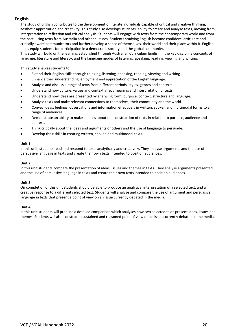# **English**

The study of English contributes to the development of literate individuals capable of critical and creative thinking, aesthetic appreciation and creativity. This study also develops students' ability to create and analyse texts, moving from interpretation to reflection and critical analysis. Students will engage with texts from the contemporary world and from the past, using texts from Australia and other cultures. Students studying English become confident, articulate and critically aware communicators and further develop a sense of themselves, their world and their place within it. English helps equip students for participation in a democratic society and the global community.

This study will build on the learning established through Australian Curriculum English in the key discipline concepts of language, literature and literacy, and the language modes of listening, speaking, reading, viewing and writing.

This study enables students to:

- Extend their English skills through thinking, listening, speaking, reading, viewing and writing.
- Enhance their understanding, enjoyment and appreciation of the English language.
- Analyse and discuss a range of texts from different periods, styles, genres and contexts.
- Understand how culture, values and context affect meaning and interpretation of texts.
- Understand how ideas are presented by analysing form, purpose, context, structure and language.
- Analyse texts and make relevant connections to themselves, their community and the world.
- Convey ideas, feelings, observations and information effectively in written, spoken and multimodal forms to a range of audiences.
- Demonstrate an ability to make choices about the construction of texts in relation to purpose, audience and context.
- Think critically about the ideas and arguments of others and the use of language to persuade.
- Develop their skills in creating written, spoken and multimodal texts.

#### **Unit 1**

In this unit, students read and respond to texts analytically and creatively. They analyse arguments and the use of persuasive language in texts and create their own texts intended to position audiences.

#### **Unit 2**

In this unit students compare the presentation of ideas, issues and themes in texts. They analyse arguments presented and the use of persuasive language in texts and create their own texts intended to position audiences.

# **Unit 3**

On completion of this unit students should be able to produce an analytical interpretation of a selected text, and a creative response to a different selected text. Students will analyse and compare the use of argument and persuasive language in texts that present a point of view on an issue currently debated in the media.

#### **Unit 4**

In this unit students will produce a detailed comparison which analyses how two selected texts present ideas, issues and themes. Students will also construct a sustained and reasoned point of view on an issue currently debated in the media.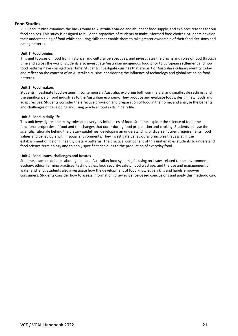# **Food Studies**

VCE Food Studies examines the background to Australia's varied and abundant food supply, and explores reasons for our food choices. This study is designed to build the capacities of students to make informed food choices. Students develop their understanding of food while acquiring skills that enable them to take greater ownership of their food decisions and eating patterns.

# **Unit 1: Food origins**

This unit focuses on food from historical and cultural perspectives, and investigates the origins and roles of food through time and across the world. Students also investigate Australian indigenous food prior to European settlement and how food patterns have changed over time. Students investigate cuisines that are part of Australia's culinary identity today and reflect on the concept of an Australian cuisine, considering the influence of technology and globalisation on food patterns.

# **Unit 2: Food makers**

Students investigate food systems in contemporary Australia, exploring both commercial and small-scale settings, and the significance of food industries to the Australian economy. They produce and evaluate foods, design new foods and adapt recipes. Students consider the effective provision and preparation of food in the home, and analyse the benefits and challenges of developing and using practical food skills in daily life.

# **Unit 3: Food in daily life**

This unit investigates the many roles and everyday influences of food. Students explore the science of food, the functional properties of food and the changes that occur during food preparation and cooking. Students analyse the scientific rationale behind the dietary guidelines, developing an understanding of diverse nutrient requirements, food values and behaviours within social environments. They investigate behavioural principles that assist in the establishment of lifelong, healthy dietary patterns. The practical component of this unit enables students to understand food science terminology and to apply specific techniques to the production of everyday food.

# **Unit 4: Food issues, challenges and futures**

Students examine debates about global and Australian food systems, focusing on issues related to the environment, ecology, ethics, farming practices, technologies, food security/safety, food wastage, and the use and management of water and land. Students also investigate how the development of food knowledge, skills and habits empower consumers. Students consider how to assess information, draw evidence-based conclusions and apply this methodology.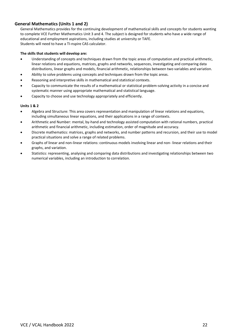# **General Mathematics (Units 1 and 2)**

General Mathematics provides for the continuing development of mathematical skills and concepts for students wanting to complete VCE Further Mathematics Unit 3 and 4. The subject is designed for students who have a wide range of educational and employment aspirations, including studies at university or TAFE. Students will need to have a TI-nspire CAS calculator.

#### **The skills that students will develop are:**

- Understanding of concepts and techniques drawn from the topic areas of computation and practical arithmetic, linear relations and equations, matrices, graphs and networks, sequences, investigating and comparing data distributions, linear graphs and models, financial arithmetic, relationships between two variables and variation.
- Ability to solve problems using concepts and techniques drawn from the topic areas.
- Reasoning and interpretive skills in mathematical and statistical contexts.
- Capacity to communicate the results of a mathematical or statistical problem-solving activity in a concise and systematic manner using appropriate mathematical and statistical language.
- Capacity to choose and use technology appropriately and efficiently.

#### **Units 1 & 2**

- Algebra and Structure: This area covers representation and manipulation of linear relations and equations, including simultaneous linear equations, and their applications in a range of contexts.
- Arithmetic and Number: mental, by-hand and technology assisted computation with rational numbers, practical arithmetic and financial arithmetic, including estimation, order of magnitude and accuracy.
- Discrete mathematics: matrices, graphs and networks, and number patterns and recursion, and their use to model practical situations and solve a range of related problems.
- Graphs of linear and non-linear relations: continuous models involving linear and non- linear relations and their graphs, and variation.
- Statistics: representing, analysing and comparing data distributions and investigating relationships between two numerical variables, including an introduction to correlation.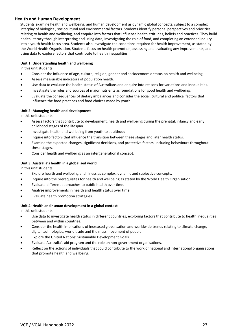# **Health and Human Development**

Students examine health and wellbeing, and human development as dynamic global concepts, subject to a complex interplay of biological, sociocultural and environmental factors. Students identify personal perspectives and priorities relating to health and wellbeing, and enquire into factors that influence health attitudes, beliefs and practices. They build health literacy through interpreting and using data, investigating the role of food, and completing an extended inquiry into a youth health focus area. Students also investigate the conditions required for health improvement, as stated by the World Health Organisation. Students focus on health promotion, assessing and evaluating any improvements, and using data to explore factors that contribute to health inequalities.

# **Unit 1: Understanding health and wellbeing**

In this unit students:

- Consider the influence of age, culture, religion, gender and socioeconomic status on health and wellbeing.
- Assess measurable indicators of population health.
- Use data to evaluate the health status of Australians and enquire into reasons for variations and inequalities.
- Investigate the roles and sources of major nutrients as foundations for good health and wellbeing.
- Evaluate the consequences of dietary imbalances and consider the social, cultural and political factors that influence the food practices and food choices made by youth.

# **Unit 2: Managing health and development**

In this unit students:

- Assess factors that contribute to development, health and wellbeing during the prenatal, infancy and early childhood stages of the lifespan.
- Investigate health and wellbeing from youth to adulthood.
- Inquire into factors that influence the transition between these stages and later health status.
- Examine the expected changes, significant decisions, and protective factors, including behaviours throughout these stages.
- Consider health and wellbeing as an intergenerational concept.

# **Unit 3: Australia's health in a globalised world**

In this unit students:

- Explore health and wellbeing and illness as complex, dynamic and subjective concepts.
- Inquire into the prerequisites for health and wellbeing as stated by the World Health Organisation.
- Evaluate different approaches to public health over time.
- Analyse improvements in health and health status over time.
- Evaluate health promotion strategies.

# **Unit 4: Health and human development in a global context**

In this unit students:

- Use data to investigate health status in different countries, exploring factors that contribute to health inequalities between and within countries.
- Consider the health implications of increased globalisation and worldwide trends relating to climate change, digital technologies, world trade and the mass movement of people.
- Explore the United Nations' Sustainable Development Goals.
- Evaluate Australia's aid program and the role on non-government organisations.
- Reflect on the actions of individuals that could contribute to the work of national and international organisations that promote health and wellbeing.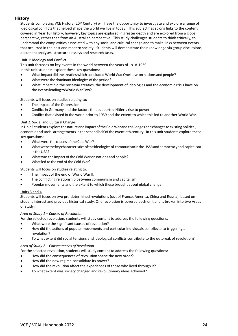# **History**

Students completing VCE History (20<sup>th</sup> Century) will have the opportunity to investigate and explore a range of ideological conflicts that helped shape the world we live in today. This subject has strong links to the content covered in Year 10 History, however, key topics are explored in greater depth and are explored from a global perspective, rather than from an Australian perspective. This study challenges students to think critically, to understand the complexities associated with any social and cultural change and to make links between events that occurred in the past and modern society. Students will demonstrate their knowledge via group discussions, document analyses, structured essays and research tasks.

# Unit 1: Ideology and Conflict

This unit focusses on key events in the world between the years of 1918-1939.

In this unit students explore these key questions:

- What impact did the treaties which concluded World War One have on nations and people?
- What were the dominant ideologies of the period?
- What impact did the post-war treaties, the development of ideologies and the economic crisis have on the events leading to World WarTwo?

Students will focus on studies relating to:

- The impact of the Depression
- Conflict in Germany and the factors that supported Hitler's rise to power
- Conflict that existed in the world prior to 1939 and the extent to which this led to another World War.

# Unit 2: Social and Cultural Change

In Unit 2 students explore the nature and impact of the Cold War and challenges and changes to existing political, economic and social arrangementsin the second half ofthe twentieth century. In this unit students explore these key questions:

- What were the causes of the Cold War?
- Whatwerethekeycharacteristicsoftheideologiesof communismintheUSSRanddemocracyand capitalism in the USA?
- What was the impact of the Cold War on nations and people?
- What led to the end of the Cold War?

Students will focus on studies relating to:

- The impact of the end of World War II.
- The conflicting relationship between communism and capitalism.
- Popular movements and the extent to which these brought about global change.

# Units 3 and 4

Students will focus on two pre-determined revolutions (out of France, America, China and Russia), based on student interest and previous historical study. One revolution is covered each unit and is broken into two Areas of Study.

# *Area of Study 1 – Causes of Revolution*

For the selected revolution, students will study content to address the following questions:

- What were the significant causes of revolution?
- How did the actions of popular movements and particular individuals contribute to triggering a revolution?
- To what extent did social tensions and ideological conflicts contribute to the outbreak of revolution?

# *Area of Study 2 – Consequences of Revolution*

- For the selected revolution, students will study content to address the following questions:
- How did the consequences of revolution shape the new order?
- How did the new regime consolidate its power?
- How did the revolution affect the experiences of those who lived through it?
- To what extent was society changed and revolutionary ideas achieved?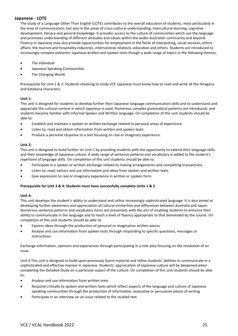# **Japanese - LOTE**

The study of a Language Other Than English (LOTE) contributes to the overall education of students, most particularly in the area of communication, but also in the areas of cross-cultural understanding, intercultural learning, cognitive development, literacy and general knowledge. It provides access to the culture of communities which use the language and promotes understanding of different attitudes and values within the wider Australian community and beyond. Fluency in Japanese may also provide opportunities for employment in the fields of interpreting, social services, ethnic affairs, the tourism and hospitality industries, international relations, education and others. Students are introduced to increasingly complex authentic Japanese written and spoken texts though a wide range of topics in the following themes:

- The Individual
- Japanese Speaking Communities
- The Changing World.

Prerequisite for Unit 1 & 2: Students choosing to study VCE Japanese must know how to read and write all the Hiragana and Katakana characters.

# **Unit 1:**

This unit is designed for students to develop further their Japanese language communication skills and to understand and appreciate the cultural context in which Japanese is used. Numerous complex grammatical patterns are introduced, and students become familiar with Informal Spoken and Written language. On completion of this unit students should be able to:

- Establish and maintain a spoken or written exchange related to personal areas of experience.
- Listen to, read and obtain information from written and spoken texts.
- Produce a personal response to a text focusing on real or imaginary experience.

#### **Unit 2:**

This unit is designed to build further on Unit 1 by providing students with the opportunity to extend their language skills and their knowledge of Japanese culture. A wide range of sentence patterns and vocabulary is added to the student's repertoire of language skills. On completion of this unit students should be able to:

- Participate in a spoken or written exchange related to making arrangements and completing transactions.
- Listen to, read, extract and use information and ideas from spoken and written texts.
- Give expression to real or imaginary experience in written or spoken form.

# **Prerequisite for Unit 3 & 4: Students must have successfully complete Units 1 & 2**

#### **Unit 3:**

This unit develops the student's ability to understand and utilise increasingly sophisticated language. It is also aimed at developing further awareness and appreciation of cultural similarities and differences between Australia and Japan. Numerous sentence patterns and vocabulary items are presented, with the aim of enabling students to enhance their ability to communicate in the language and to reach a level of fluency appropriate to that demanded by the course. On completion of this unit students should be able to:

- Express ideas through the production of personal or imaginative written pieces
- Analyse and use information from spoken tests through responding to specific questions, messages or instructions.

Exchange information, opinions and experiences through participating in a role-play focusing on the resolution of an issue.

Unit 4 This unit is designed to build upon previously learnt material and refine students' abilities to communicate in a sophisticated and effective manner in Japanese. Students' appreciation of Japanese culture will be deepened when completing the Detailed Study on a particular aspect of the culture. On completion of this unit students should be able to:

- Analyse and use information from written texts
- Respond critically to spoken and written texts which reflect aspects of the language and culture of Japanese speaking communities through the production of informative, evaluative or persuasive pieces of writing
- Participate in an interview on an issue related to the studied text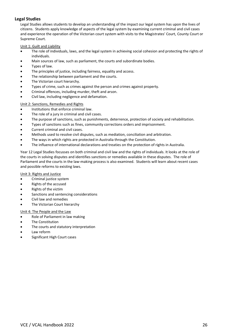# **Legal Studies**

Legal Studies allows students to develop an understanding of the impact our legal system has upon the lives of citizens. Students apply knowledge of aspects of the legal system by examining current criminal and civil cases and experience the operation of the Victorian court system with visits to the Magistrates' Court, County Court or Supreme Court.

# Unit 1: Guilt and Liability

- The role of individuals, laws, and the legal system in achieving social cohesion and protecting the rights of individuals.
- Main sources of law, such as parliament, the courts and subordinate bodies.
- Types of law.
- The principles of justice, including fairness, equality and access.
- The relationship between parliament and the courts.
- The Victorian court hierarchy.
- Types of crime, such as crimes against the person and crimes against property.
- Criminal offences, including murder, theft and arson.
- Civil law, including negligence and defamation.

# Unit 2: Sanctions, Remedies and Rights

- Institutions that enforce criminal law.
- The role of a jury in criminal and civil cases.
- The purpose of sanctions, such as punishments, deterrence, protection of society and rehabilitation.
- Types of sanctions such as fines, community corrections orders and imprisonment.
- Current criminal and civil cases.
- Methods used to resolve civil disputes, such as mediation, conciliation and arbitration.
- The ways in which rights are protected in Australia through the Constitution.
- The influence of international declarations and treaties on the protection of rights in Australia.

Year 12 Legal Studies focusses on both criminal and civil law and the rights of individuals. It looks at the role of the courts in solving disputes and identifies sanctions or remedies available in these disputes. The role of Parliament and the courts in the law-making process is also examined. Students will learn about recent cases and possible reforms to existing laws.

# Unit 3: Rights and Justice

- Criminal justice system
- Rights of the accused
- Rights of the victim
- Sanctions and sentencing considerations
- Civil law and remedies
- The Victorian Court hierarchy

# Unit 4: The People and the Law

- Role of Parliament in law making
- The Constitution
- The courts and statutory interpretation
- Law reform
- Significant High Court cases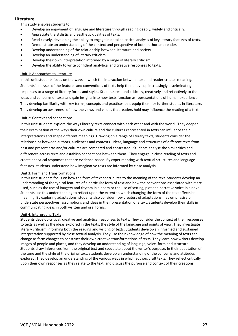# **Literature**

This study enables students to:

- Develop an enjoyment of language and literature through reading deeply, widely and critically.
- Appreciate the stylistic and aesthetic qualities of texts.
- Read closely, developing the ability to engage in detailed critical analysis of key literary features of texts.
- Demonstrate an understanding of the context and perspective of both author and reader.
- Develop understanding of the relationship between literature and society.
- Develop an understanding of literary criticism.
- Develop their own interpretation informed by a range of literary criticism.
- Develop the ability to write confident analytical and creative responses to texts.

# Unit 1: Approaches to literature

In this unit students focus on the ways in which the interaction between text and reader creates meaning. Students' analyses of the features and conventions of texts help them develop increasingly discriminating responses to a range of literary forms and styles. Students respond critically, creatively and reflectively to the ideas and concerns of texts and gain insights into how texts function as representations of human experience. They develop familiarity with key terms, concepts and practices that equip them for further studies in literature. They develop an awareness of how the views and values that readers hold may influence the reading of a text.

# Unit 2: Context and connections

In this unit students explore the ways literary texts connect with each other and with the world. They deepen their examination of the ways their own culture and the cultures represented in texts can influence their interpretations and shape different meanings. Drawing on a range of literary texts, students consider the relationships between authors, audiences and contexts. Ideas, language and structures of different texts from past and present eras and/or cultures are compared and contrasted. Students analyse the similarities and differences across texts and establish connections between them. They engage in close reading of texts and create analytical responses that are evidence-based. By experimenting with textual structures and language features, students understand how imaginative texts are informed by close analysis.

# Unit 3: Form and Transformations

In this unit students focus on how the form of text contributes to the meaning of the text. Students develop an understanding of the typical features of a particular form of text and how the conventions associated with it are used, such as the use of imagery and rhythm in a poem or the use of setting, plot and narrative voice in a novel. Students use this understanding to reflect upon the extent to which changing the form of the text affects its meaning. By exploring adaptations, students also consider how creators of adaptations may emphasise or understate perspectives, assumptions and ideas in their presentation of a text. Students develop their skills in communicating ideas in both written and oral forms.

# Unit 4: Interpreting Texts

Students develop critical, creative and analytical responses to texts. They consider the context of their responses to texts as well as the ideas explored in the texts, the style of the language and points of view. They investigate literary criticism informing both the reading and writing of texts. Students develop an informed and sustained interpretation supported by close textual analysis. They use their knowledge of how the meaning of texts can change as form changes to construct their own creative transformations of texts. They learn how writers develop images of people and places, and they develop an understanding of language, voice, form and structure. Students draw inferences from the original text and speculate about the writer's purpose. In their adaptation of the tone and the style of the original text, students develop an understanding of the concerns and attitudes explored. They develop an understanding of the various ways in which authors craft texts. They reflect critically upon their own responses as they relate to the text, and discuss the purpose and context of their creations.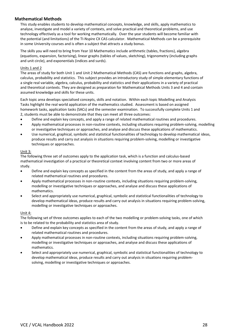# **Mathematical Methods**

This study enables students to develop mathematical concepts, knowledge, and skills, apply mathematics to analyse, investigate and model a variety of contexts, and solve practical and theoretical problems, and use technology effectively as a tool for working mathematically. Over the year students will become familiar with the potential (and limitations) of the TI-Nspire CX CAS calculator. Mathematical Methods can be a prerequisite in some University courses and is often a subject that attracts a study bonus.

The skills you will need to bring from Year 10 Mathematics include arithmetic (tables, fractions), algebra (equations, expansion, factorising), linear graphs (tables of values, sketching), trigonometry (including graphs and unit circle), and exponentials (indices and surds).

# Units 1 and 2

The areas of study for both Unit 1 and Unit 2 Mathematical Methods (CAS) are functions and graphs, algebra, calculus, probability and statistics. This subject provides an introductory study of simple elementary functions of a single real variable, algebra, calculus, probability and statistics and their applications in a variety of practical and theoretical contexts. They are designed as preparation for Mathematical Methods Units 3 and 4 and contain assumed knowledge and skills for these units.

Each topic area develops specialised concepts, skills and notation. Within each topic Modelling and Analysis Tasks highlight the real world application of the mathematics studied. Assessment is based on assigned homework tasks, application tasks (SACs) and the semester examination. To successfully complete Units 1 and 2, students must be able to demonstrate that they can meet all three outcomes:

- Define and explain key concepts, and apply a range of related mathematical routines and procedures.
- Apply mathematical processes in non-routine contexts, including situations requiring problem-solving, modelling or investigative techniques or approaches, and analyse and discuss these applications of mathematics.
- Use numerical, graphical, symbolic and statistical functionalities of technology to develop mathematical ideas, produce results and carry out analysis in situations requiring problem-solving, modelling or investigative techniques or approaches.

# Unit 3:

The following three set of outcomes apply to the application task, which is a function and calculus-based mathematical investigation of a practical or theoretical context involving content from two or more areas of study.

- Define and explain key concepts as specified in the content from the areas of study, and apply a range of related mathematical routines and procedures.
- Apply mathematical processes in non-routine contexts, including situations requiring problem-solving, modelling or investigative techniques or approaches, and analyse and discuss these applications of mathematics.
- Select and appropriately use numerical, graphical, symbolic and statistical functionalities of technology to develop mathematical ideas, produce results and carry out analysis in situations requiring problem-solving, modelling or investigative techniques or approaches.

# Unit 4:

The following set of three outcomes applies to each of the two modelling or problem-solving tasks, one of which is to be related to the probability and statistics area of study.

- Define and explain key concepts as specified in the content from the areas of study, and apply a range of related mathematical routines and procedures.
- Apply mathematical processes in non-routine contexts, including situations requiring problem-solving, modelling or investigative techniques or approaches, and analyse and discuss these applications of mathematics.
- Select and appropriately use numerical, graphical, symbolic and statistical functionalities of technology to develop mathematical ideas, produce results and carry out analysis in situations requiring problemsolving, modelling or investigative techniques or approaches.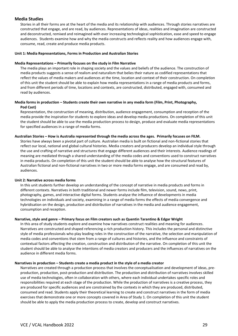# **Media Studies**

Stories in all their forms are at the heart of the media and its relationship with audiences. Through stories narratives are constructed that engage, and are read, by audiences. Representations of ideas, realities and imagination are constructed and deconstructed, remixed and reimagined with ever increasing technological sophistication, ease and speed to engage audiences. Students examine how and why the media constructs and reflects reality and how audiences engage with, consume, read, create and produce media products.

#### **Unit 1: Media Representations, Forms in Production and Australian Stories**

#### **Media Representations – Primarily focuses on the study in Film Narrative**

The media plays an important role in shaping society and the values and beliefs of the audience. The construction of media products suggests a sense of realism and naturalism that belies their nature as codified representations that reflect the values of media makers and audiences at the time, location and context of their construction. On completion of this unit the student should be able to explain how media representations in a range of media products and forms, and from different periods of time, locations and contexts, are constructed, distributed, engaged with, consumed and read by audiences.

# **Media forms in production – Students create their own narrative in any media form (Film, Print, Photography, Pod Cast)**

Representation, the construction of meaning, distribution, audience engagement, consumption and reception of the media provide the inspiration for students to explore ideas and develop media productions. On completion of this unit the student should be able to use the media production process to design, produce and evaluate media representations for specified audiences in a range of media forms.

#### **Australian Stories – How is Australia represented through the media across the ages. Primarily focuses on FILM.**

Stories have always been a pivotal part of culture. Australian media is built on fictional and non-fictional stories that reflect our local, national and global cultural histories. Media creators and producers develop an individual style through the use and crafting of narrative and structures that engage different audiences and their interests. Audience readings of meaning are mediated through a shared understanding of the media codes and conventions used to construct narratives in media products. On completion of this unit the student should be able to analyse how the structural features of Australian fictional and non-fictional narratives in two or more media forms engage, and are consumed and read by, audiences.

#### **Unit 2: Narrative across media forms**

In this unit students further develop an understanding of the concept of narrative in media products and forms in different contexts. Narratives in both traditional and newer forms include film, television, sound, news, print, photography, games, and interactive digital forms. Students analyse the influence of developments in media technologies on individuals and society, examining in a range of media forms the effects of media convergence and hybridisation on the design, production and distribution of narratives in the media and audience engagement, consumption and reception.

#### **Narrative, style and genre – Primary focus on Film creators such as Quentin Tarantino & Edgar Wright**

In this area of study students explore and examine how narratives construct realities and meaning for audiences. Narratives are constructed and shaped referencing a rich production history. This includes the personal and distinctive style of media professionals who play leading roles in the construction of the narrative, the selection and manipulation of media codes and conventions that stem from a range of cultures and histories, and the influence and constraints of contextual factors affecting the creation, construction and distribution of the narrative. On completion of this unit the student should be able to analyse the intentions of media creators and producers and the influences of narratives on the audience in different media forms.

# **Narratives in production – Students create a media product in the style of a media creator**

Narratives are created through a production process that involves the conceptualisation and development of ideas, preproduction, production, post-production and distribution. The production and distribution of narratives involves skilled use of media technologies, often in collaboration with others, where each individual undertakes specific roles and responsibilities required at each stage of the production. While the production of narratives is a creative process, they are produced for specific audiences and are constrained by the contexts in which they are produced, distributed, consumed and read. Students apply their theoretical learning to create and construct narratives in the form of media exercises that demonstrate one or more concepts covered in Area of Study 1. On completion of this unit the student should be able to apply the media production process to create, develop and construct narratives.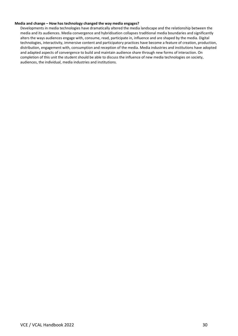#### **Media and change – How has technology changed the way media engages?**

Developments in media technologies have dramatically altered the media landscape and the relationship between the media and its audiences. Media convergence and hybridisation collapses traditional media boundaries and significantly alters the ways audiences engage with, consume, read, participate in, influence and are shaped by the media. Digital technologies, interactivity, immersive content and participatory practices have become a feature of creation, production, distribution, engagement with, consumption and reception of the media. Media industries and institutions have adopted and adapted aspects of convergence to build and maintain audience share through new forms of interaction. On completion of this unit the student should be able to discuss the influence of new media technologies on society, audiences, the individual, media industries and institutions.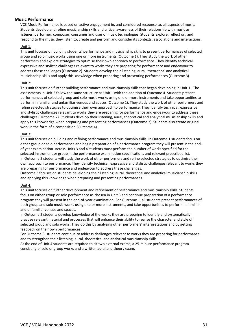# **Music Performance**

VCE Music Performance is based on active engagement in, and considered response to, all aspects of music. Students develop and refine musicianship skills and critical awareness of their relationship with music as listener, performer, composer, consumer and user of music technologies. Students explore, reflect on, and respond to the music they listen to, create and perform and consider its contexts, associations and interactions.

# Unit 1:

This unit focuses on building students' performance and musicianship skills to present performances of selected group and solo music works using one or more instruments (Outcome 1). They study the work of other performers and explore strategies to optimise their own approach to performance. They identify technical, expressive and stylistic challenges relevant to works they are preparing for performance and endeavour to address these challenges (Outcome 2). Students develop their listening, aural, theoretical and analytical musicianship skills and apply this knowledge when preparing and presenting performances (Outcome 3).

# Unit 2:

This unit focuses on further building performance and musicianship skills that began developing in Unit 1. The assessments in Unit 2 follow the same structure as Unit 1 with the addition of Outcome 4. Students present performances of selected group and solo music works using one or more instruments and take opportunities to perform in familiar and unfamiliar venues and spaces (Outcome 1). They study the work of other performers and refine selected strategies to optimise their own approach to performance. They identify technical, expressive and stylistic challenges relevant to works they are preparing for performance and endeavour to address these challenges (Outcome 2). Students develop their listening, aural, theoretical and analytical musicianship skills and apply this knowledge when preparing and presenting performances (Outcome 3). Students also create original work in the form of a composition (Outcome 4).

# Unit 3:

This unit focuses on building and refining performance and musicianship skills. In Outcome 1 students focus on either group or solo performance and begin preparation of a performance program they will present in the endof-year examination. Across Units 3 and 4 students must perform the number of works specified for the selected instrument or group in the performance examination specifications and relevant prescribed list. In Outcome 2 students will study the work of other performers and refine selected strategies to optimise their own approach to performance. They identify technical, expressive and stylistic challenges relevant to works they are preparing for performance and endeavour to address these challenges.

Outcome 3 focuses on students developing their listening, aural, theoretical and analytical musicianship skills and applying this knowledge when preparing and presenting performances.

# Unit 4:

This unit focuses on further development and refinement of performance and musicianship skills. Students focus on either group or solo performance as chosen in Unit 3 and continue preparation of a performance program they will present in the end-of-year examination. For Outcome 1, all students present performances of both group and solo music works using one or more instruments, and take opportunities to perform in familiar and unfamiliar venues and spaces.

In Outcome 2 students develop knowledge of the works they are preparing to identify and systematically practise relevant material and processes that will enhance their ability to realise the character and style of selected group and solo works. They do this by analysing other performers' interpretations and by getting feedback on their own performances.

For Outcome 3, students continue to address challenges relevant to works they are preparing for performance and to strengthen their listening, aural, theoretical and analytical musicianship skills.

At the end of Unit 4 students are required to sit two external exams; a 25-minute performance program consisting of solo or group works and a written aural and theory exam.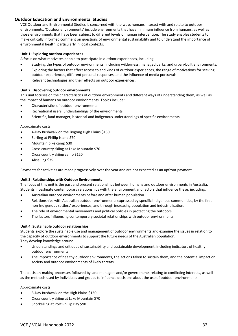# **Outdoor Education and Environmental Studies**

VCE Outdoor and Environmental Studies is concerned with the ways humans interact with and relate to outdoor environments. 'Outdoor environments' include environments that have minimum influence from humans, as well as those environments that have been subject to different levels of human intervention. The study enables students to make critically informed comment on questions of environmental sustainability and to understand the importance of environmental health, particularly in local contexts.

# **Unit 1: Exploring outdoor experiences**

A focus on what motivates people to participate in outdoor experiences, including;

- Studying the types of outdoor environments, including wilderness, managed parks, and urban/built environments.
- Exploring the factors that affect access to and kinds of outdoor experiences, the range of motivations for seeking outdoor experiences, different personal responses, and the influence of media portrayals.
- Relevant technologies and their effects on outdoor experiences.

# **Unit 2: Discovering outdoor environments**

This unit focuses on the characteristics of outdoor environments and different ways of understanding them, as well as the impact of humans on outdoor environments. Topics include:

- Characteristics of outdoor environments
- Recreational users' understandings of the environments.
- Scientific, land manager, historical and indigenous understandings of specific environments.

# Approximate costs:

- 4-Day Bushwalk on the Bogong High Plains \$130
- Surfing at Phillip Island \$70
- Mountain bike camp \$30
- Cross country skiing at Lake Mountain \$70
- Cross country skiing camp \$120
- Abseiling \$35

Payments for activities are made progressively over the year and are not expected as an upfront payment.

# **Unit 3: Relationships with Outdoor Environments**

The focus of this unit is the past and present relationships between humans and outdoor environments in Australia. Students investigate contemporary relationships with the environment and factors that influence these, including:

- Australian outdoor environments before and after human population
- Relationships with Australian outdoor environments expressed by specific Indigenous communities, by the first non-Indigenous settlers' experiences, and through increasing population and industrialisation.
- The role of environmental movements and political policies in protecting the outdoors
- The factors influencing contemporary societal relationships with outdoor environments.

# **Unit 4: Sustainable outdoor relationships**

Students explore the sustainable use and management of outdoor environments and examine the issues in relation to the capacity of outdoor environments to support the future needs of the Australian population. They develop knowledge around:

- Understandings and critiques of sustainability and sustainable development, including indicators of healthy outdoor environments
- The importance of healthy outdoor environments, the actions taken to sustain them, and the potential impact on society and outdoor environments of likely threats

The decision-making processes followed by land managers and/or governments relating to conflicting interests, as well as the methods used by individuals and groups to influence decisions about the use of outdoor environments.

Approximate costs:

- 3-Day Bushwalk on the High Plains \$130
- Cross country skiing at Lake Mountain \$70
- Snorkelling at Port Phillip Bay \$90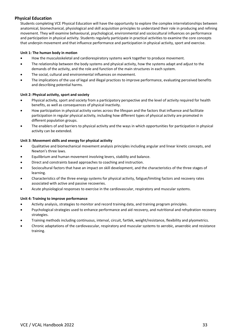# **Physical Education**

Students completing VCE Physical Education will have the opportunity to explore the complex interrelationships between anatomical, biomechanical, physiological and skill acquisition principles to understand their role in producing and refining movement. They will examine behavioural, psychological, environmental and sociocultural influences on performance and participation in physical activity. Students regularly participate in practical activities to examine the core concepts that underpin movement and that influence performance and participation in physical activity, sport and exercise.

# **Unit 1: The human body in motion**

- How the musculoskeletal and cardiorespiratory systems work together to produce movement.
- The relationship between the body systems and physical activity, how the systems adapt and adjust to the demands of the activity, and the role and function of the main structures in each system.
- The social, cultural and environmental influences on movement.
- The implications of the use of legal and illegal practices to improve performance, evaluating perceived benefits and describing potential harms.

# **Unit 2: Physical activity, sport and society**

- Physical activity, sport and society from a participatory perspective and the level of activity required for health benefits, as well as consequences of physical inactivity.
- How participation in physical activity varies across the lifespan and the factors that influence and facilitate participation in regular physical activity, including how different types of physical activity are promoted in different population groups.
- The enablers of and barriers to physical activity and the ways in which opportunities for participation in physical activity can be extended.

# **Unit 3: Movement skills and energy for physical activity**

- Qualitative and biomechanical movement analysis principles including angular and linear kinetic concepts, and Newton's three laws.
- Equilibrium and human movement involving levers, stability and balance.
- Direct and constraints based approaches to coaching and instruction.
- Sociocultural factors that have an impact on skill development, and the characteristics of the three stages of learning.
- Characteristics of the three energy systems for physical activity, fatigue/limiting factors and recovery rates associated with active and passive recoveries.
- Acute physiological responses to exercise in the cardiovascular, respiratory and muscular systems.

# **Unit 4: Training to improve performance**

- Activity analysis, strategies to monitor and record training data, and training program principles.
- Psychological strategies used to enhance performance and aid recovery, and nutritional and rehydration recovery strategies.
- Training methods including continuous, interval, circuit, fartlek, weight/resistance, flexibility and plyometrics.
- Chronic adaptations of the cardiovascular, respiratory and muscular systems to aerobic, anaerobic and resistance training.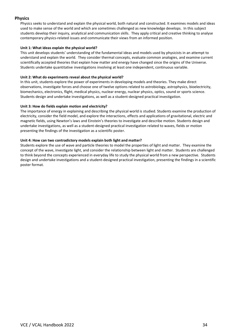# **Physics**

Physics seeks to understand and explain the physical world, both natural and constructed. It examines models and ideas used to make sense of the world and which are sometimes challenged as new knowledge develops. In this subject students develop their inquiry, analytical and communication skills. They apply critical and creative thinking to analyse contemporary physics-related issues and communicate their views from an informed position.

# **Unit 1: What ideas explain the physical world?**

This unit develops students' understanding of the fundamental ideas and models used by physicists in an attempt to understand and explain the world. They consider thermal concepts, evaluate common analogies, and examine current scientifically accepted theories that explain how matter and energy have changed since the origins of the Universe. Students undertake quantitative investigations involving at least one independent, continuous variable.

# **Unit 2: What do experiments reveal about the physical world?**

In this unit, students explore the power of experiments in developing models and theories. They make direct observations, investigate forces and choose one of twelve options related to astrobiology, astrophysics, bioelectricity, biomechanics, electronics, flight, medical physics, nuclear energy, nuclear physics, optics, sound or sports science. Students design and undertake investigations, as well as a student-designed practical investigation.

# **Unit 3: How do fields explain motion and electricity?**

The importance of energy in explaining and describing the physical world is studied. Students examine the production of electricity, consider the field model, and explore the interactions, effects and applications of gravitational, electric and magnetic fields, using Newton's laws and Einstein's theories to investigate and describe motion. Students design and undertake investigations, as well as a student-designed practical investigation related to waves, fields or motion presenting the findings of the investigation as a scientific poster.

# **Unit 4: How can two contradictory models explain both light and matter?**

Students explore the use of wave and particle theories to model the properties of light and matter. They examine the concept of the wave, investigate light, and consider the relationship between light and matter. Students are challenged to think beyond the concepts experienced in everyday life to study the physical world from a new perspective. Students design and undertake investigations and a student-designed practical investigation, presenting the findings in a scientific poster format.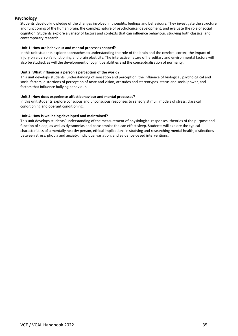# **Psychology**

Students develop knowledge of the changes involved in thoughts, feelings and behaviours. They investigate the structure and functioning of the human brain, the complex nature of psychological development, and evaluate the role of social cognition. Students explore a variety of factors and contexts that can influence behaviour, studying both classical and contemporary research.

# **Unit 1: How are behaviour and mental processes shaped?**

In this unit students explore approaches to understanding the role of the brain and the cerebral cortex, the impact of injury on a person's functioning and brain plasticity. The interactive nature of hereditary and environmental factors will also be studied, as will the development of cognitive abilities and the conceptualisation of normality.

# **Unit 2: What influences a person's perception of the world?**

This unit develops students' understanding of sensation and perception, the influence of biological, psychological and social factors, distortions of perception of taste and vision, attitudes and stereotypes, status and social power, and factors that influence bullying behaviour.

# **Unit 3: How does experience affect behaviour and mental processes?**

In this unit students explore conscious and unconscious responses to sensory stimuli, models of stress, classical conditioning and operant conditioning.

# **Unit 4: How is wellbeing developed and maintained?**

This unit develops students' understanding of the measurement of physiological responses, theories of the purpose and function of sleep, as well as dyssomnias and parasomnias the can effect sleep. Students will explore the typical characteristics of a mentally healthy person, ethical implications in studying and researching mental health, distinctions between stress, phobia and anxiety, individual variation, and evidence-based interventions.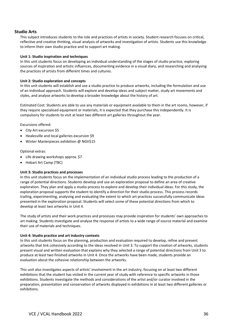# **Studio Arts**

This subject introduces students to the role and practices of artists in society. Student research focuses on critical, reflective and creative thinking, visual analysis of artworks and investigation of artists. Students use this knowledge to inform their own studio practice and to support art making.

# **Unit 1: Studio inspiration and techniques**

In this unit students focus on developing an individual understanding of the stages of studio practice, exploring sources of inspiration and artistic influences, documenting evidence in a visual diary, and researching and analysing the practices of artists from different times and cultures.

#### **Unit 2: Studio exploration and concepts**

In this unit students will establish and use a studio practice to produce artworks, including the formulation and use of an individual approach. Students will explore and develop ideas and subject matter, study art movements and styles, and analyse artworks to develop a broader knowledge about the history of art.

Estimated Cost: Students are able to use any materials or equipment available to them in the art rooms, however, if they require specialised equipment or materials, it is expected that they purchase this independently. It is compulsory for students to visit at least two different art galleries throughout the year.

Excursions offered:

- City Art excursion \$5
- Healesville and local galleries excursion \$9
- Winter Masterpieces exhibition @ NGV\$15

# Optional extras:

- Life drawing workshops approx. \$7
- Hobart Art Camp (TBC)

# **Unit 3: Studio practices and processes**

In this unit students focus on the implementation of an individual studio process leading to the production of a range of potential directions. Students develop and use an exploration proposal to define an area of creative exploration. They plan and apply a studio process to explore and develop their individual ideas. For this study, the exploration proposal supports the student to identify a direction for their studio process. This process records trailing, experimenting, analysing and evaluating the extent to which art practices successfully communicate ideas presented in the exploration proposal. Students will select some of these potential directions from which to develop at least two artworks in Unit 4.

The study of artists and their work practices and processes may provide inspiration for students' own approaches to art making. Students investigate and analyse the response of artists to a wide range of source material and examine their use of materials and techniques.

# **Unit 4: Studio practice and art industry contexts**

In this unit students focus on the planning, production and evaluation required to develop, refine and present artworks that link cohesively according to the ideas resolved in Unit 3. To support the creation of artworks, students present visual and written evaluation that explains why they selected a range of potential directions from Unit 3 to produce at least two finished artworks in Unit 4. Once the artworks have been made, students provide an evaluation about the cohesive relationship between the artworks.

This unit also investigates aspects of artists' involvement in the art industry, focusing on at least two different exhibitions that the student has visited in the current year of study with reference to specific artworks in those exhibitions. Students investigate the methods and considerations of the artist and/or curator involved in the preparation, presentation and conservation of artworks displayed in exhibitions in at least two different galleries or exhibitions.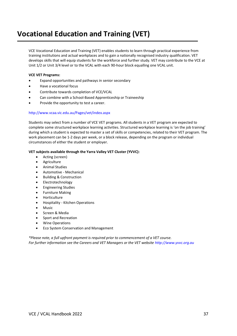# **Vocational Education and Training (VET)**

VCE Vocational Education and Training (VET) enables students to learn through practical experience from training institutions and actual workplaces and to gain a nationally recognised industry qualification. VET develops skills that will equip students for the workforce and further study. VET may contribute to the VCE at Unit 1/2 or Unit 3/4 level or to the VCAL with each 90-hour block equalling one VCAL unit.

# **VCE VET Programs:**

- Expand opportunities and pathways in senior secondary
- Have a vocational focus
- Contribute towards completion of VCE/VCAL
- Can combine with a School-Based Apprenticeship or Traineeship
- Provide the opportunity to test a career.

# <http://www.vcaa.vic.edu.au/Pages/vet/index.aspx>

Students may select from a number of VCE VET programs. All students in a VET program are expected to complete some structured workplace learning activities. Structured workplace learning is 'on the job training' during which a student is expected to master a set of skills or competencies, related to their VET program. The work placement can be 1-2 days per week, or a block release, depending on the program or individual circumstances of either the student or employer.

# **VET subjects available through the Yarra Valley VET Cluster (YVVC):**

- Acting (screen)
- Agriculture
- Animal Studies
- Automotive Mechanical
- Building & Construction
- Electrotechnology
- Engineering Studies
- Furniture Making
- Horticulture
- Hospitality Kitchen Operations
- Music
- Screen & Media
- Sport and Recreation
- Wine Operations
- Eco System Conservation and Management

*\*Please note, a full upfront payment is required prior to commencement of a VET course. For further information see the Careers and VET Managers or the VET website [http://www.yvvc.org.au](http://www.yvvc.org.au/)*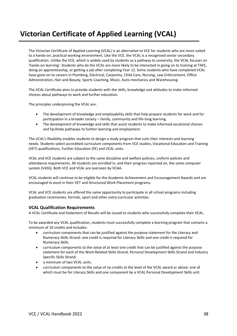# **Victorian Certificate of Applied Learning (VCAL)**

The Victorian Certificate of Applied Learning (VCAL) is an alternative to VCE for students who are more suited to a hands-on, practical working environment. Like the VCE, the VCAL is a recognised senior secondary qualification. Unlike the VCE, which is widely used by students as a pathway to university, the VCAL focuses on 'hands-on learning'. Students who do the VCAL are more likely to be interested in going on to training at TAFE, doing an apprenticeship, or getting a job after completing Year 12. Some students who have completed VCAL have gone on to careers in Plumbing, Electrical, Carpentry, Child Care, Nursing, Law Enforcement, Office Administration, Hair and Beauty, Sports Coaching, Music, Auto-mechanics and Warehousing.

The VCAL Certificate aims to provide students with the skills, knowledge and attitudes to make informed choices about pathways to work and further education.

The principles underpinning the VCAL are:

- The development of knowledge and employability skills that help prepare students for work and for participation in a broader society – family, community and life-long learning.
- The development of knowledge and skills that assist students to make informed vocational choices and facilitate pathways to further learning and employment.

The VCAL's flexibility enables students to design a study program that suits their interests and learning needs. Students select accredited curriculum components from VCE studies, Vocational Education and Training (VET) qualifications, Further Education (FE) and VCAL units.

VCAL and VCE students are subject to the same discipline and welfare policies, uniform policies and attendance requirements. All students are enrolled in, and their progress reported on, the same computer system (VASS). Both VCE and VCAL are overseen by VCAA.

VCAL students will continue to be eligible for the Academic Achievement and Encouragement Awards and are encouraged to excel in their VET and Structured Work Placement programs.

VCAL and VCE students are offered the same opportunity to participate in all school programs including graduation ceremonies, formals, sport and other extra-curricular activities.

# **VCAL Qualification Requirements**

A VCAL Certificate and Statement of Results will be issued to students who successfully complete their VCAL.

To be awarded any VCAL qualification, students must successfully complete a learning program that contains a minimum of 10 credits and includes:

- curriculum components that can be justified against the purpose statement for the Literacy and Numeracy Skills Strand: one credit is required for Literacy Skills and one credit is required for Numeracy Skills.
- curriculum components to the value of at least one credit that can be justified against the purpose statement for each of the Work Related Skills Strand, Personal Development Skills Strand and Industry Specific Skills Strand.
- a minimum of two VCAL units.
- curriculum components to the value of six credits at the level of the VCAL award or above: one of which must be for Literacy Skills and one component be a VCAL Personal Development Skills unit.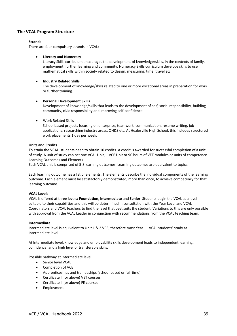# **The VCAL Program Structure**

# **Strands**

There are [four compulsory strands](https://www.vcaa.vic.edu.au/Pages/vcal/students/compulsorystrands.aspx) in VCAL:

# • **Literacy and Numeracy**

Literacy Skills curriculum encourages the development of knowledge/skills, in the contexts of family, employment, further learning and community. Numeracy Skills curriculum develops skills to use mathematical skills within society related to design, measuring, time, travel etc.

# • **Industry Related Skills**

The development of knowledge/skills related to one or more vocational areas in preparation for work or further training.

# • **Personal Development Skills**

Development of knowledge/skills that leads to the development of self, social responsibility, building community, civic responsibility and improving self-confidence.

# • Work Related Skills

School based projects focusing on enterprise, teamwork, communication, resume writing, job applications, researching industry areas, OH&S etc. At Healesville High School, this includes structured work placements 1 day per week.

# **Units and Credits**

To attain the VCAL, students need to obtain 10 credits. A credit is awarded for successful completion of a unit of study. A unit of study can be: one VCAL Unit, 1 VCE Unit or 90 hours of VET modules or units of competence. Learning Outcomes and Elements

Each VCAL unit is comprised of 5-8 learning outcomes. Learning outcomes are equivalent to topics.

Each learning outcome has a list of elements. The elements describe the individual components of the learning outcome. Each element must be satisfactorily demonstrated, more than once, to achieve competency for that learning outcome.

# **VCAL Levels**

VCAL is offered at three levels**: Foundation, Intermediate** and **Senior**. Students begin the VCAL at a level suitable to their capabilities and this will be determined in consultation with the Year Level and VCAL Coordinators and VCAL teachers to find the level that best suits the student. Variations to this are only possible with approval from the VCAL Leader in conjunction with recommendations from the VCAL teaching team.

# **Intermediate**

Intermediate level is equivalent to Unit 1 & 2 VCE, therefore most Year 11 VCAL students' study at Intermediate level.

At Intermediate level, knowledge and employability skills development leads to independent learning, confidence, and a high level of transferable skills.

Possible pathway at Intermediate level:

- Senior level VCAL
- Completion of VCE
- Apprenticeships and traineeships (school-based or full-time)
- Certificate II (or above) VET courses
- Certificate II (or above) FE courses
- **Employment**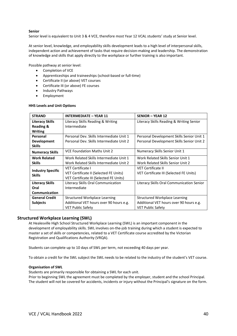# **Senior**

Senior level is equivalent to Unit 3 & 4 VCE, therefore most Year 12 VCAL students' study at Senior level.

At senior level, knowledge, and employability skills development leads to a high level of interpersonal skills, independent action and achievement of tasks that require decision-making and leadership. The demonstration of knowledge and skills that apply directly to the workplace or further training is also important.

Possible pathway at senior level:

- Completion of VCE
- Apprenticeships and traineeships (school-based or full-time)
- Certificate II (or above) VET courses
- Certificate III (or above) FE courses
- Industry Pathways
- Employment

#### **HHS Levels and Unit Options**

| <b>STRAND</b>                                                | <b>INTERMEDIATE - YEAR 11</b>            | <b>SENIOR - YEAR 12</b>                   |  |  |
|--------------------------------------------------------------|------------------------------------------|-------------------------------------------|--|--|
| <b>Literacy Skills</b><br>Literacy Skills Reading & Writing  |                                          | Literacy Skills Reading & Writing Senior  |  |  |
| <b>Reading &amp;</b>                                         | Intermediate                             |                                           |  |  |
| <b>Writing</b>                                               |                                          |                                           |  |  |
| Personal<br>Personal Dev. Skills Intermediate Unit 1         |                                          | Personal Development Skills Senior Unit 1 |  |  |
| <b>Development</b>                                           | Personal Dev. Skills Intermediate Unit 2 | Personal Development Skills Senior Unit 2 |  |  |
| <b>Skills</b>                                                |                                          |                                           |  |  |
| <b>VCE Foundation Maths Unit 2</b><br><b>Numeracy Skills</b> |                                          | Numeracy Skills Senior Unit 1             |  |  |
| <b>Work Related</b>                                          | Work Related Skills Intermediate Unit 1  | Work Related Skills Senior Unit 1         |  |  |
| Work Related Skills Intermediate Unit 2<br><b>Skills</b>     |                                          | Work Related Skills Senior Unit 2         |  |  |
|                                                              | VET Certificate I                        | <b>VET Certificate II</b>                 |  |  |
| <b>Industry Specific</b><br><b>Skills</b>                    | VET Certificate II (Selected FE Units)   | VET Certificate III (Selected FE Units)   |  |  |
|                                                              | VET Certificate III (Selected FE Units)  |                                           |  |  |
| <b>Literacy Skills</b>                                       | Literacy Skills Oral Communication       | Literacy Skills Oral Communication Senior |  |  |
| Oral                                                         | Intermediate                             |                                           |  |  |
| <b>Communication</b>                                         |                                          |                                           |  |  |
| <b>General Credit</b><br>Structured Workplace Learning       |                                          | Structured Workplace Learning             |  |  |
| Additional VET hours over 90 hours e.g.<br><b>Subjects</b>   |                                          | Additional VET hours over 90 hours e.g.   |  |  |
|                                                              | <b>VET Public Safety</b>                 | <b>VET Public Safety</b>                  |  |  |

# **Structured Workplace Learning (SWL)**

At Healesville High School Structured Workplace Learning (SWL) is an important component in the development of employability skills. SWL involves on-the-job training during which a student is expected to master a set of skills or competencies, related to a VET Certificate course accredited by the Victorian Registration and Qualifications Authority (VRQA).

Students can complete up to 10 days of SWL per term, not exceeding 40 days per year.

To obtain a credit for the SWL subject the SWL needs to be related to the industry of the student's VET course.

# **Organisation of SWL**

Students are primarily responsible for obtaining a SWL for each unit.

Prior to beginning SWL the agreement must be completed by the employer, student and the school Principal. The student will not be covered for accidents, incidents or injury without the Principal's signature on the form.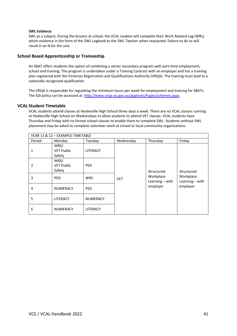# **SWL Evidence**

SWL as a subject. During the lessons at school, the VCAL student will complete their Work Related Log (WRL) which evidence in the form of the SWL Logbook to the SWL Teacher when requested. Failure to do so will result in an N for the unit.

# **School Based Apprenticeship or Traineeship**

An SBAT offers students the option of combining a senior secondary program with part-time employment, school and training. The program is undertaken under a Training Contract with an employer and has a training plan registered with the Victorian Registration and Qualifications Authority (VRQA). The training must lead to a nationally recognised qualification.

The VRQA is responsible for regulating the minimum hours per week for employment and training for SBATs. The full policy can be accessed at[: http://www.vrqa.vic.gov.au/apptrain/Pages/schemes.aspx.](http://www.vrqa.vic.gov.au/apptrain/Pages/schemes.aspx)

# **VCAL Student Timetable**

VCAL students attend classes at Healesville High School three days a week. There are no VCAL classes running at Healesville High School on Wednesdays to allow students to attend VET classes. VCAL students have Thursday and Friday with no formal school classes to enable them to complete SWL. Students without SWL placement may be asked to complete volunteer work at school or local community organisations.

| YEAR 11 & 12 - EXAMPLE TIMETABLE |                                     |                 |            |                                |                                |  |  |
|----------------------------------|-------------------------------------|-----------------|------------|--------------------------------|--------------------------------|--|--|
| Period                           | Monday                              | Tuesday         | Wednesday  | Thursday                       | Friday                         |  |  |
| 1                                | WRS/<br><b>VET Public</b><br>Safety | LITERACY        | <b>VET</b> |                                |                                |  |  |
| 2                                | WRS/<br><b>VET Public</b><br>Safety | <b>PDS</b>      |            | Structured                     | Structured                     |  |  |
| 3                                | <b>PDS</b>                          | <b>WRS</b>      |            | Workplace<br>Learning $-$ with | Workplace<br>Learning $-$ with |  |  |
| 4                                | <b>NUMERACY</b>                     | <b>PDS</b>      |            | employer                       | employer                       |  |  |
| 5                                | LITERACY                            | <b>NUMERACY</b> |            |                                |                                |  |  |
| 6                                | <b>NUMERACY</b>                     | <b>LITERACY</b> |            |                                |                                |  |  |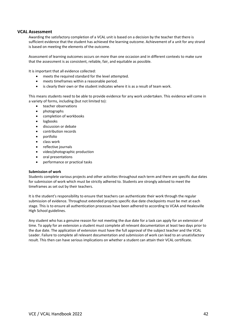# **VCAL Assessment**

Awarding the satisfactory completion of a VCAL unit is based on a decision by the teacher that there is sufficient evidence that the student has achieved the learning outcome. Achievement of a unit for any strand is based on meeting the elements of the outcome.

Assessment of learning outcomes occurs on more than one occasion and in different contexts to make sure that the assessment is as consistent, reliable, fair, and equitable as possible.

It is important that all evidence collected:

- meets the required standard for the level attempted.
- meets timeframes within a reasonable period.
- is clearly their own or the student indicates where it is as a result of team work.

This means students need to be able to provide evidence for any work undertaken. This evidence will come in a variety of forms, including (but not limited to):

- teacher observations
- photographs
- completion of workbooks
- logbooks
- discussion or debate
- contribution records
- portfolio
- class work
- reflective journals
- video/photographic production
- oral presentations
- performance or practical tasks

# **Submission of work**

Students complete various projects and other activities throughout each term and there are specific due dates for submission of work which must be strictly adhered to. Students are strongly advised to meet the timeframes as set out by their teachers.

It is the student's responsibility to ensure that teachers can authenticate their work through the regular submission of evidence. Throughout extended projects specific due date checkpoints must be met at each stage. This is to ensure all authentication processes have been adhered to according to VCAA and Healesville High School guidelines.

Any student who has a genuine reason for not meeting the due date for a task can apply for an extension of time. To apply for an extension a student must complete all relevant documentation at least two days prior to the due date. The application of extension must have the full approval of the subject teacher and the VCAL Leader. Failure to complete all relevant documentation and submission of work can lead to an unsatisfactory result. This then can have serious implications on whether a student can attain their VCAL certificate.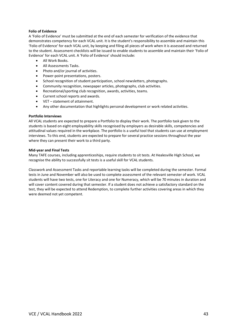# **Folio of Evidence**

A 'Folio of Evidence' must be submitted at the end of each semester for verification of the evidence that demonstrates competency for each VCAL unit. It is the student's responsibility to assemble and maintain this 'Folio of Evidence' for each VCAL unit, by keeping and filing all pieces of work when it is assessed and returned to the student. Assessment checklists will be issued to enable students to assemble and maintain their 'Folio of Evidence' for each VCAL unit. A 'Folio of Evidence' should include:

- All Work Books.
- All Assessments Tasks.
- Photo and/or journal of activities.
- Power-point presentations, posters.
- School recognition of student participation, school newsletters, photographs.
- Community recognition, newspaper articles, photographs, club activities.
- Recreational/sporting club recognition, awards, activities, teams.
- Current school reports and awards.
- VET statement of attainment.
- Any other documentation that highlights personal development or work related activities.

# **Portfolio Interviews**

All VCAL students are expected to prepare a Portfolio to display their work. The portfolio task given to the students is based on eight employability skills recognised by employers as desirable skills, competencies and attitudinal values required in the workplace. The portfolio is a useful tool that students can use at employment interviews. To this end, students are expected to prepare for several practice sessions throughout the year where they can present their work to a third party.

#### **Mid-year and Final Tests**

Many TAFE courses, including apprenticeships, require students to sit tests. At Healesville High School, we recognise the ability to successfully sit tests is a useful skill for VCAL students.

Classwork and Assessment Tasks and reportable learning tasks will be completed during the semester. Formal tests in June and November will also be used to complete assessment of the relevant semester of work. VCAL students will have two tests, one for Literacy and one for Numeracy, which will be 70 minutes in duration and will cover content covered during that semester. If a student does not achieve a satisfactory standard on the test, they will be expected to attend Redemption, to complete further activities covering areas in which they were deemed not yet competent.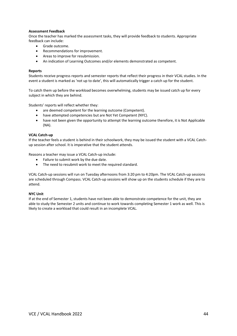# **Assessment Feedback**

Once the teacher has marked the assessment tasks, they will provide feedback to students. Appropriate feedback can include:

- Grade outcome.
- Recommendations for improvement.
- Areas to improve for resubmission.
- An indication of Learning Outcomes and/or elements demonstrated as competent.

#### **Reports**

Students receive progress reports and semester reports that reflect their progress in their VCAL studies. In the event a student is marked as 'not up to date', this will automatically trigger a catch up for the student.

To catch them up before the workload becomes overwhelming, students may be issued catch up for every subject in which they are behind.

Students' reports will reflect whether they:

- are deemed competent for the learning outcome (Competent).
- have attempted competencies but are Not Yet Competent (NYC).
- have not been given the opportunity to attempt the learning outcome therefore, it is Not Applicable (NA).

#### **VCAL Catch-up**

If the teacher feels a student is behind in their schoolwork, they may be issued the student with a VCAL Catchup session after school. It is imperative that the student attends.

Reasons a teacher may issue a VCAL Catch-up include:

- Failure to submit work by the due date.
- The need to resubmit work to meet the required standard.

VCAL Catch-up sessions will run on Tuesday afternoons from 3:20 pm to 4:20pm. The VCAL Catch-up sessions are scheduled through Compass. VCAL Catch-up sessions will show up on the students schedule if they are to attend.

# **NYC Unit**

If at the end of Semester 1, students have not been able to demonstrate competence for the unit, they are able to study the Semester 2 units and continue to work towards completing Semester 1 work as well. This is likely to create a workload that could result in an incomplete VCAL.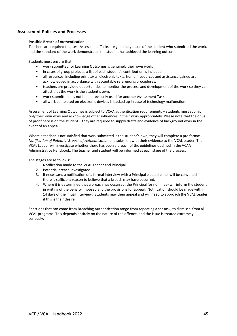# **Assessment Policies and Processes**

# **Possible Breach of Authentication**

Teachers are required to attest Assessment Tasks are genuinely those of the student who submitted the work, and the standard of the work demonstrates the student has achieved the learning outcome.

Students must ensure that:

- work submitted for Learning Outcomes is genuinely their own work.
- in cases of group projects, a list of each student's contribution is included.
- all resources, including print texts, electronic texts, human resources and assistance gained are acknowledged in accordance with acceptable referencing procedures.
- teachers are provided opportunities to monitor the process and development of the work so they can attest that the work is the student's own.
- work submitted has not been previously used for another Assessment Task.
- all work completed on electronic devices is backed up in case of technology malfunction.

Assessment of Learning Outcomes is subject to VCAA authentication requirements – students must submit only their own work and acknowledge other influences in their work appropriately. Please note that the onus of proof here is on the student – they are required to supply drafts and evidence of background work in the event of an appeal.

Where a teacher is not satisfied that work submitted is the student's own, they will complete a pro forma: *Notification of Potential Breach of Authentication* and submit it with their evidence to the VCAL Leader. The VCAL Leader will investigate whether there has been a breach of the guidelines outlined in the VCAA Administrative Handbook. The teacher and student will be informed at each stage of the process.

The stages are as follows:

- 1. Notification made to the VCAL Leader and Principal.
- 2. Potential breach investigated.
- 3. If necessary, a notification of a formal interview with a Principal elected panel will be convened if there is sufficient reason to believe that a breach may have occurred.
- 4. Where it is determined that a breach has occurred, the Principal (or nominee) will inform the student in writing of the penalty imposed and the provisions for appeal. Notification should be made within 14 days of the initial interview. Students may then appeal and will need to approach the VCAL Leader if this is their desire.

Sanctions that can come from Breaching Authentication range from repeating a set task, to dismissal from all VCAL programs. This depends entirely on the nature of the offence, and the issue is treated extremely seriously.